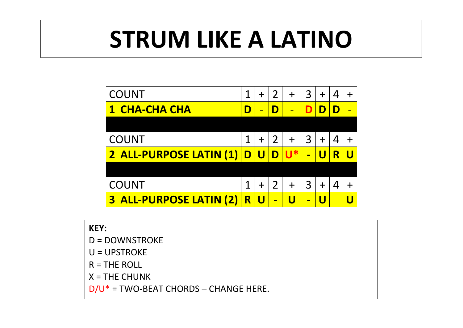## **STRUM LIKE A LATINO**

| <b>COUNT</b>                      |                         | $\ddag$ | $\overline{2}$ | $\div$ | 3              | $\ddag$        | 4 | ┿ |
|-----------------------------------|-------------------------|---------|----------------|--------|----------------|----------------|---|---|
| <b>CHA-CHA CHA</b>                | D                       | ▬       | D              |        | D              | D              | D | ▬ |
|                                   |                         |         |                |        |                |                |   |   |
| <b>COUNT</b>                      | 1                       | $\ddag$ | $\overline{2}$ | $+$    | 3              | $+$            | 4 |   |
| 2 ALL-PURPOSE LATIN (1)           | $\mathbf D$             | U       | D              | $U^*$  | $\blacksquare$ | U              | R | U |
|                                   |                         |         |                |        |                |                |   |   |
| <b>COUNT</b>                      | 1                       | $\ddag$ | $\overline{2}$ | $+$    | 3              | $+$            | 4 |   |
| <b>ALL-PURPOSE LATIN (2)</b><br>3 | $\overline{\textbf{R}}$ |         | $\blacksquare$ |        | $\blacksquare$ | $\blacksquare$ |   |   |

| <b>KEY:</b>                              |
|------------------------------------------|
| $D = DOWNSTROKE$                         |
| $U = UPSTROKE$                           |
| $R = THE ROLL$                           |
| $X = THE CHUNK$                          |
| $D/U^*$ = TWO-BEAT CHORDS – CHANGE HERE. |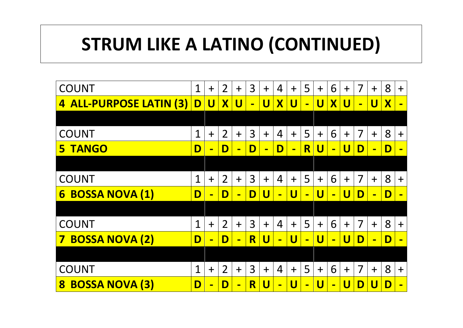## **STRUM LIKE A LATINO (CONTINUED)**

| <b>COUNT</b>                      | $\overline{1}$          | $+$                     | $\overline{2}$          | $+$                     | 3              | $+$                     | $\overline{4}$ | $+$                     | 5              | $+$                     | 6                | $+$                     | $\overline{7}$ | $+$                     | 8                         | $+$            |
|-----------------------------------|-------------------------|-------------------------|-------------------------|-------------------------|----------------|-------------------------|----------------|-------------------------|----------------|-------------------------|------------------|-------------------------|----------------|-------------------------|---------------------------|----------------|
| <b>ALL-PURPOSE LATIN (3)</b><br>4 | $\overline{\mathsf{D}}$ | $\overline{\mathsf{U}}$ | $\overline{\textbf{X}}$ | $\overline{\mathsf{U}}$ | $\blacksquare$ | $\overline{\mathsf{U}}$ | $\mathbf{X}$   | $\overline{\mathsf{U}}$ | $\blacksquare$ | $\overline{\mathsf{U}}$ | $\boldsymbol{X}$ | $\overline{\mathsf{U}}$ | $\blacksquare$ | $\overline{\mathsf{U}}$ | $\boldsymbol{\mathsf{X}}$ | $\blacksquare$ |
|                                   |                         |                         |                         |                         |                |                         |                |                         |                |                         |                  |                         |                |                         |                           |                |
| <b>COUNT</b>                      | 1                       | $+$                     | $\overline{2}$          | $+$                     | 3              | $+$                     | $\overline{4}$ | $+$                     | 5              | $+$                     | 6                | $+$                     | 7              | $+$                     | 8                         | $\ddagger$     |
| <b>TANGO</b><br>5                 | D                       | $\blacksquare$          | D                       | $\blacksquare$          | D              | $\blacksquare$          | $\mathbf D$    | $\blacksquare$          | R              | $\overline{\mathsf{U}}$ | $\blacksquare$   | $\overline{\mathsf{U}}$ | D              | $\blacksquare$          | $\mathbf D$               | $\blacksquare$ |
|                                   |                         |                         |                         |                         |                |                         |                |                         |                |                         |                  |                         |                |                         |                           |                |
| <b>COUNT</b>                      | $\overline{1}$          | $+$                     | $\overline{2}$          | $+$                     | 3              | $+$                     | $\overline{4}$ | $+$                     | 5              | $+$                     | 6                | $+$                     | $\overline{7}$ | $+$                     | 8                         | $+$            |
| <b>BOSSA NOVA (1)</b><br>6        | D                       | $\blacksquare$          | $\mathbf D$             | $\blacksquare$          | D              | U                       | $\blacksquare$ | $\overline{\mathsf{U}}$ | $\blacksquare$ | $\overline{\mathsf{U}}$ | $\blacksquare$   | U                       | D              | $\blacksquare$          | D                         | $\blacksquare$ |
|                                   |                         |                         |                         |                         |                |                         |                |                         |                |                         |                  |                         |                |                         |                           |                |
| <b>COUNT</b>                      | $\overline{1}$          | $+$                     | $\overline{2}$          | $+$                     | 3              | $+$                     | $\overline{4}$ | $+$                     | 5              | $+$                     | 6                | $+$                     | 7              | $+$                     | 8                         | $+$            |
| <b>BOSSA NOVA (2)</b><br>7        | D                       | $\blacksquare$          | $\mathbf D$             | $\blacksquare$          | R              | U                       | $\blacksquare$ | U                       | $\blacksquare$ | $\overline{\mathsf{U}}$ | $\blacksquare$   | U                       | D              | $\blacksquare$          | $\mathbf D$               |                |
|                                   |                         |                         |                         |                         |                |                         |                |                         |                |                         |                  |                         |                |                         |                           |                |
| <b>COUNT</b>                      | $\overline{1}$          | $+$                     | $\overline{2}$          | $+$                     | 3              | $+$                     | $\overline{4}$ | $+$                     | 5              | $+$                     | 6                | $\ddag$                 | $\overline{7}$ | $+$                     | 8                         | $\ddag$        |
| <b>BOSSA NOVA (3)</b><br>8        | D                       |                         | D                       | $\blacksquare$          | R              | U                       | $\blacksquare$ | U                       | $\blacksquare$ | U                       | $\blacksquare$   | U                       | D              |                         | D                         | $\blacksquare$ |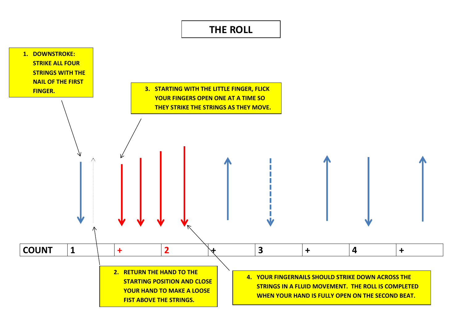## **THE ROLL**